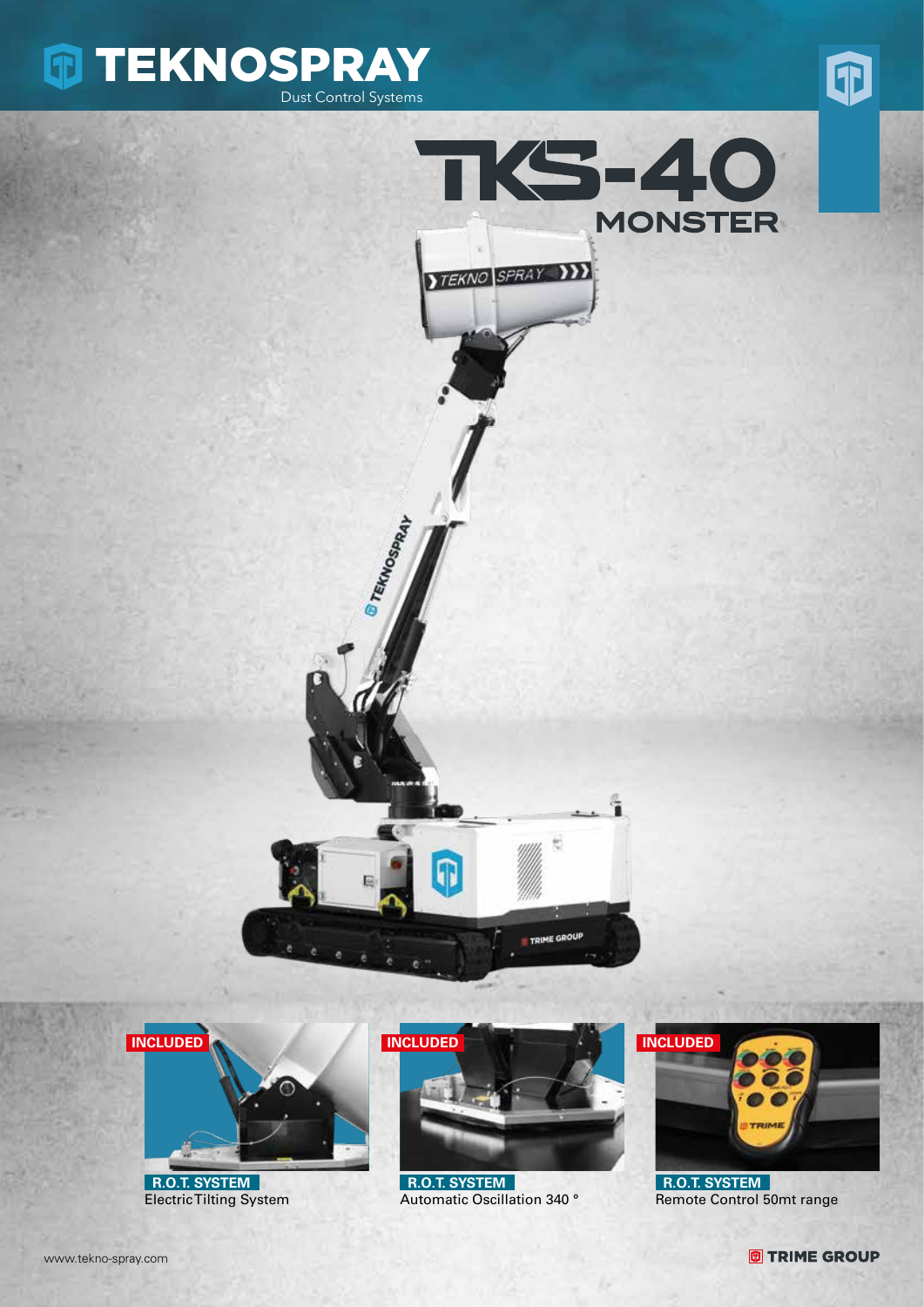







 **R.O.T. SYSTEM** Electric Tilting System



 **R.O.T. SYSTEM** Automatic Oscillation 340 °



 **R.O.T. SYSTEM** Remote Control 50mt range